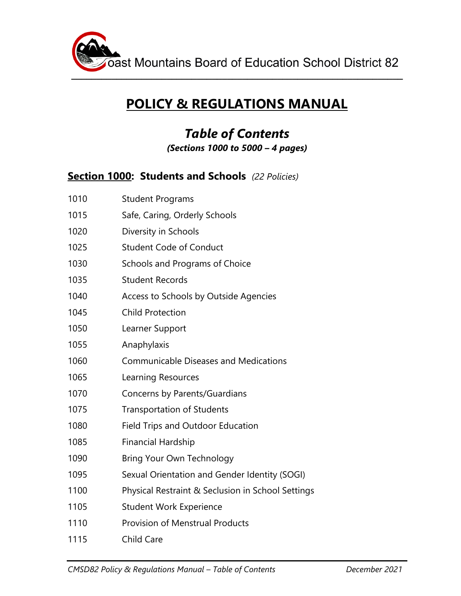

# **POLICY & REGULATIONS MANUAL**

# *Table of Contents (Sections 1000 to 5000 – 4 pages)*

#### **Section 1000: Students and Schools** *(22 Policies)*

| 1010 | <b>Student Programs</b>                           |
|------|---------------------------------------------------|
| 1015 | Safe, Caring, Orderly Schools                     |
| 1020 | Diversity in Schools                              |
| 1025 | <b>Student Code of Conduct</b>                    |
| 1030 | Schools and Programs of Choice                    |
| 1035 | <b>Student Records</b>                            |
| 1040 | Access to Schools by Outside Agencies             |
| 1045 | <b>Child Protection</b>                           |
| 1050 | Learner Support                                   |
| 1055 | Anaphylaxis                                       |
| 1060 | <b>Communicable Diseases and Medications</b>      |
| 1065 | Learning Resources                                |
| 1070 | Concerns by Parents/Guardians                     |
| 1075 | <b>Transportation of Students</b>                 |
| 1080 | Field Trips and Outdoor Education                 |
| 1085 | <b>Financial Hardship</b>                         |
| 1090 | Bring Your Own Technology                         |
| 1095 | Sexual Orientation and Gender Identity (SOGI)     |
| 1100 | Physical Restraint & Seclusion in School Settings |
| 1105 | <b>Student Work Experience</b>                    |
| 1110 | <b>Provision of Menstrual Products</b>            |
| 1115 | Child Care                                        |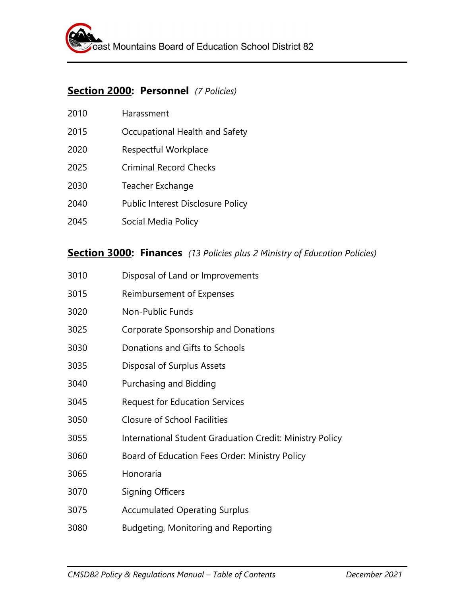#### **Section 2000: Personnel** *(7 Policies)*

| 2010 | Harassment                        |
|------|-----------------------------------|
| 2015 | Occupational Health and Safety    |
| 2020 | Respectful Workplace              |
| 2025 | <b>Criminal Record Checks</b>     |
| 2030 | Teacher Exchange                  |
| 2040 | Public Interest Disclosure Policy |
| 2045 | Social Media Policy               |

#### **Section 3000: Finances** *(13 Policies plus 2 Ministry of Education Policies)*

| 3010 | Disposal of Land or Improvements                         |
|------|----------------------------------------------------------|
| 3015 | Reimbursement of Expenses                                |
| 3020 | <b>Non-Public Funds</b>                                  |
| 3025 | Corporate Sponsorship and Donations                      |
| 3030 | Donations and Gifts to Schools                           |
| 3035 | Disposal of Surplus Assets                               |
| 3040 | Purchasing and Bidding                                   |
| 3045 | <b>Request for Education Services</b>                    |
| 3050 | <b>Closure of School Facilities</b>                      |
| 3055 | International Student Graduation Credit: Ministry Policy |
| 3060 | Board of Education Fees Order: Ministry Policy           |
| 3065 | Honoraria                                                |
| 3070 | <b>Signing Officers</b>                                  |
| 3075 | <b>Accumulated Operating Surplus</b>                     |
| 3080 | Budgeting, Monitoring and Reporting                      |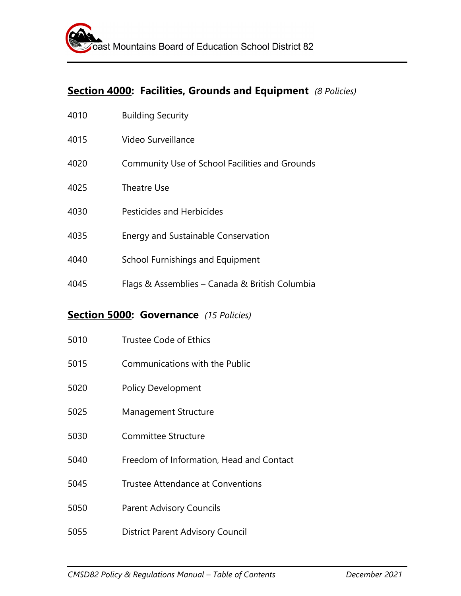## **Section 4000: Facilities, Grounds and Equipment** *(8 Policies)*

| 4010 | <b>Building Security</b>                       |
|------|------------------------------------------------|
| 4015 | Video Surveillance                             |
| 4020 | Community Use of School Facilities and Grounds |
| 4025 | Theatre Use                                    |
| 4030 | Pesticides and Herbicides                      |
| 4035 | <b>Energy and Sustainable Conservation</b>     |
| 4040 | School Furnishings and Equipment               |
| 4045 | Flags & Assemblies – Canada & British Columbia |

## **Section 5000: Governance** *(15 Policies)*

| 5010 | Trustee Code of Ethics                   |
|------|------------------------------------------|
| 5015 | Communications with the Public           |
| 5020 | <b>Policy Development</b>                |
| 5025 | <b>Management Structure</b>              |
| 5030 | Committee Structure                      |
| 5040 | Freedom of Information, Head and Contact |
| 5045 | Trustee Attendance at Conventions        |
| 5050 | <b>Parent Advisory Councils</b>          |
| 5055 | <b>District Parent Advisory Council</b>  |